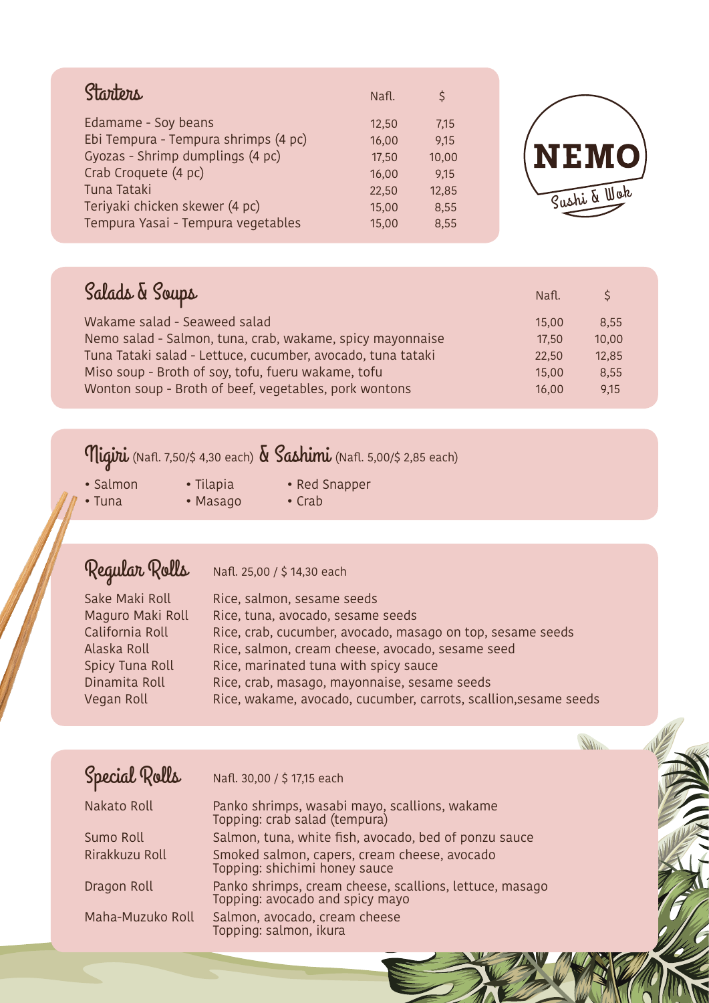| Starters                             | Nafl. | Š     |  |
|--------------------------------------|-------|-------|--|
| Edamame - Soy beans                  | 12,50 | 7,15  |  |
| Ebi Tempura - Tempura shrimps (4 pc) | 16,00 | 9,15  |  |
| Gyozas - Shrimp dumplings (4 pc)     | 17,50 | 10,00 |  |
| Crab Croquete (4 pc)                 | 16,00 | 9,15  |  |
| Tuna Tataki                          | 22,50 | 12,85 |  |
| Teriyaki chicken skewer (4 pc)       | 15,00 | 8,55  |  |
| Tempura Yasai - Tempura vegetables   | 15,00 | 8,55  |  |



**Willin** 

| Salads & Soups                                              | Nafl. | $\zeta$ |
|-------------------------------------------------------------|-------|---------|
| Wakame salad - Seaweed salad                                | 15,00 | 8.55    |
| Nemo salad - Salmon, tuna, crab, wakame, spicy mayonnaise   | 17,50 | 10,00   |
| Tuna Tataki salad - Lettuce, cucumber, avocado, tuna tataki | 22,50 | 12,85   |
| Miso soup - Broth of soy, tofu, fueru wakame, tofu          | 15,00 | 8,55    |
| Wonton soup - Broth of beef, vegetables, pork wontons       | 16,00 | 9,15    |

## $\eta$ igiri (Nafl. 7,50/\$ 4,30 each)  $\delta$  Sashimi (Nafl. 5,00/\$ 2,85 each)

- 
- Salmon Tilapia Red Snapper

- Masago
- 

## Regular Rolls Nafl. 25,00 / \$ 14,30 each

| Sake Maki Roll   | Rice, salmon, sesame seeds                                       |
|------------------|------------------------------------------------------------------|
| Maguro Maki Roll | Rice, tuna, avocado, sesame seeds                                |
| California Roll  | Rice, crab, cucumber, avocado, masago on top, sesame seeds       |
| Alaska Roll      | Rice, salmon, cream cheese, avocado, sesame seed                 |
| Spicy Tuna Roll  | Rice, marinated tuna with spicy sauce                            |
| Dinamita Roll    | Rice, crab, masago, mayonnaise, sesame seeds                     |
| Vegan Roll       | Rice, wakame, avocado, cucumber, carrots, scallion, sesame seeds |

| Special Rolls    | Nafl. 30,00 / \$ 17,15 each                                                                |
|------------------|--------------------------------------------------------------------------------------------|
| Nakato Roll      | Panko shrimps, wasabi mayo, scallions, wakame<br>Topping: crab salad (tempura)             |
| Sumo Roll        | Salmon, tuna, white fish, avocado, bed of ponzu sauce                                      |
| Rirakkuzu Roll   | Smoked salmon, capers, cream cheese, avocado<br>Topping: shichimi honey sauce              |
| Dragon Roll      | Panko shrimps, cream cheese, scallions, lettuce, masago<br>Topping: avocado and spicy mayo |
| Maha-Muzuko Roll | Salmon, avocado, cream cheese<br>Topping: salmon, ikura                                    |